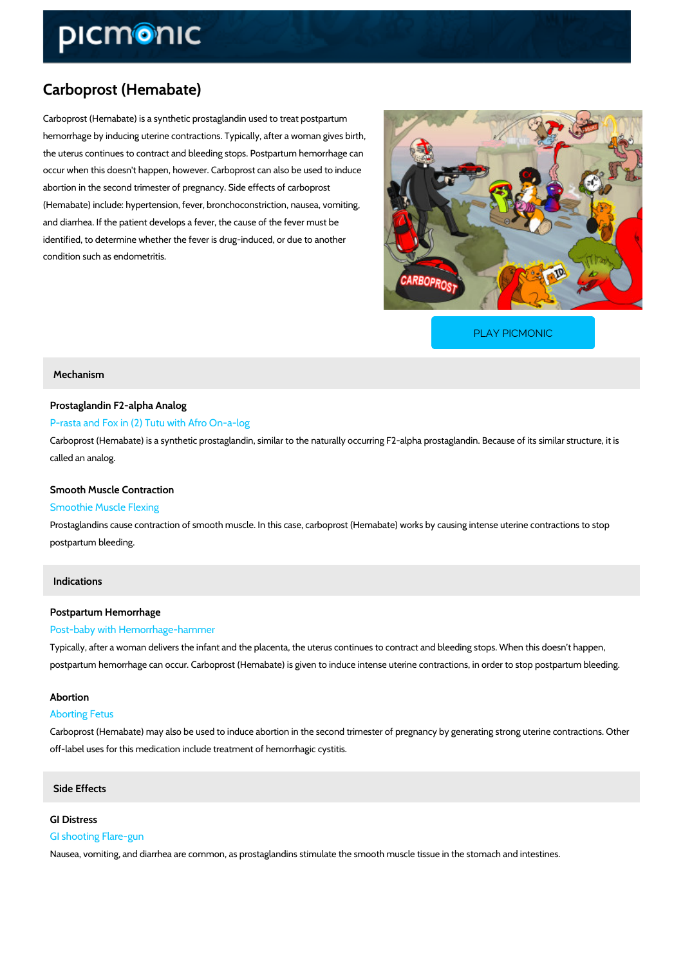# Carboprost (Hemabate)

Carboprost (Hemabate) is a synthetic prostaglandin used to treat postpartum hemorrhage by inducing uterine contractions. Typically, after a woman gives birth, the uterus continues to contract and bleeding stops. Postpartum hemorrhage can occur when this doesn't happen, however. Carboprost can also be used to induce abortion in the second trimester of pregnancy. Side effects of carboprost (Hemabate) include: hypertension, fever, bronchoconstriction, nausea, vomiting, and diarrhea. If the patient develops a fever, the cause of the fever must be identified, to determine whether the fever is drug-induced, or due to another condition such as endometritis.

[PLAY PICMONIC](https://www.picmonic.com/learn/carboprost-hemabate_2208?utm_source=downloadable_content&utm_medium=distributedcontent&utm_campaign=pathways_pdf&utm_content=Carboprost (Hemabate)&utm_ad_group=leads&utm_market=all)

### Mechanism

## Prostaglandin F2-alpha Analog

### P-rasta and Fox in (2) Tutu with Afro On-a-log

Carboprost (Hemabate) is a synthetic prostaglandin, similar to the naturally occurring F2-alph called an analog.

### Smooth Muscle Contraction

## Smoothie Muscle Flexing

Prostaglandins cause contraction of smooth muscle. In this case, carboprost (Hemabate) work postpartum bleeding.

## Indications

#### Postpartum Hemorrhage

#### Post-baby with Hemorrhage-hammer

Typically, after a woman delivers the infant and the placenta, the uterus continues to contrac postpartum hemorrhage can occur. Carboprost (Hemabate) is given to induce intense uterine c

#### Abortion

#### Aborting Fetus

Carboprost (Hemabate) may also be used to induce abortion in the second trimester of pregna off-label uses for this medication include treatment of hemorrhagic cystitis.

#### Side Effects

## GI Distress

## GI shooting Flare-gun

Nausea, vomiting, and diarrhea are common, as prostaglandins stimulate the smooth muscle ti